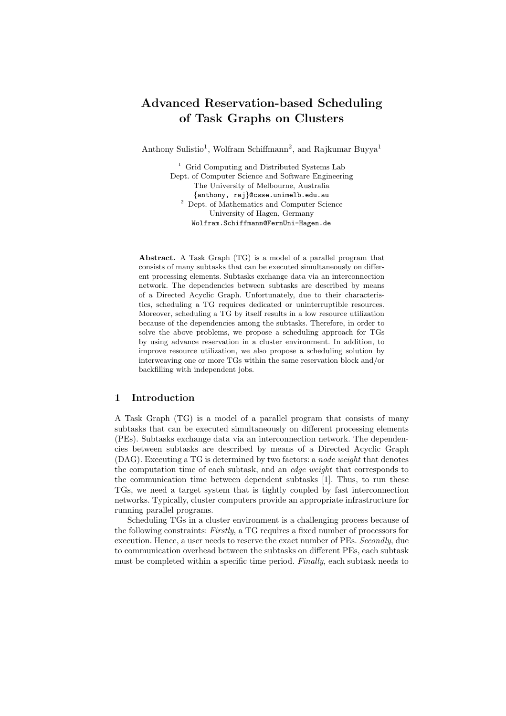# Advanced Reservation-based Scheduling of Task Graphs on Clusters

Anthony Sulistio<sup>1</sup>, Wolfram Schiffmann<sup>2</sup>, and Rajkumar Buyya<sup>1</sup>

<sup>1</sup> Grid Computing and Distributed Systems Lab Dept. of Computer Science and Software Engineering The University of Melbourne, Australia {anthony, raj}@csse.unimelb.edu.au <sup>2</sup> Dept. of Mathematics and Computer Science University of Hagen, Germany Wolfram.Schiffmann@FernUni-Hagen.de

Abstract. A Task Graph (TG) is a model of a parallel program that consists of many subtasks that can be executed simultaneously on different processing elements. Subtasks exchange data via an interconnection network. The dependencies between subtasks are described by means of a Directed Acyclic Graph. Unfortunately, due to their characteristics, scheduling a TG requires dedicated or uninterruptible resources. Moreover, scheduling a TG by itself results in a low resource utilization because of the dependencies among the subtasks. Therefore, in order to solve the above problems, we propose a scheduling approach for TGs by using advance reservation in a cluster environment. In addition, to improve resource utilization, we also propose a scheduling solution by interweaving one or more TGs within the same reservation block and/or backfilling with independent jobs.

### 1 Introduction

A Task Graph (TG) is a model of a parallel program that consists of many subtasks that can be executed simultaneously on different processing elements (PEs). Subtasks exchange data via an interconnection network. The dependencies between subtasks are described by means of a Directed Acyclic Graph (DAG). Executing a TG is determined by two factors: a node weight that denotes the computation time of each subtask, and an *edge weight* that corresponds to the communication time between dependent subtasks [1]. Thus, to run these TGs, we need a target system that is tightly coupled by fast interconnection networks. Typically, cluster computers provide an appropriate infrastructure for running parallel programs.

Scheduling TGs in a cluster environment is a challenging process because of the following constraints: Firstly, a TG requires a fixed number of processors for execution. Hence, a user needs to reserve the exact number of PEs. Secondly, due to communication overhead between the subtasks on different PEs, each subtask must be completed within a specific time period. Finally, each subtask needs to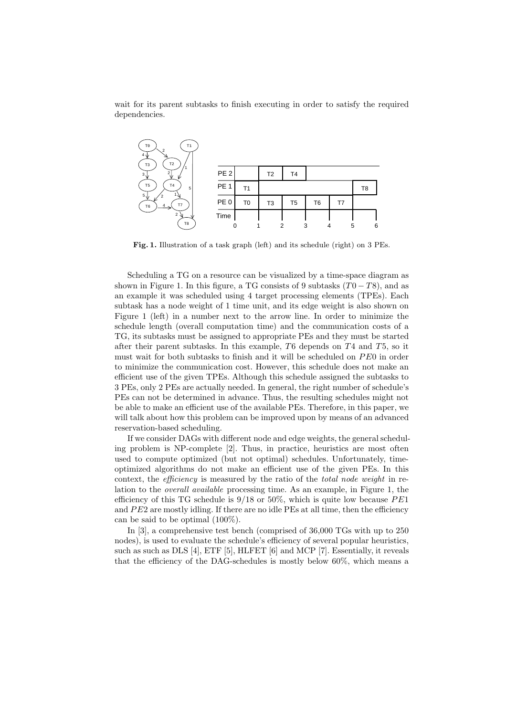wait for its parent subtasks to finish executing in order to satisfy the required dependencies.



Fig. 1. Illustration of a task graph (left) and its schedule (right) on 3 PEs.

Scheduling a TG on a resource can be visualized by a time-space diagram as shown in Figure 1. In this figure, a TG consists of 9 subtasks  $(T0 - T8)$ , and as an example it was scheduled using 4 target processing elements (TPEs). Each subtask has a node weight of 1 time unit, and its edge weight is also shown on Figure 1 (left) in a number next to the arrow line. In order to minimize the schedule length (overall computation time) and the communication costs of a TG, its subtasks must be assigned to appropriate PEs and they must be started after their parent subtasks. In this example,  $T6$  depends on  $T4$  and  $T5$ , so it must wait for both subtasks to finish and it will be scheduled on PE0 in order to minimize the communication cost. However, this schedule does not make an efficient use of the given TPEs. Although this schedule assigned the subtasks to 3 PEs, only 2 PEs are actually needed. In general, the right number of schedule's PEs can not be determined in advance. Thus, the resulting schedules might not be able to make an efficient use of the available PEs. Therefore, in this paper, we will talk about how this problem can be improved upon by means of an advanced reservation-based scheduling.

If we consider DAGs with different node and edge weights, the general scheduling problem is NP-complete [2]. Thus, in practice, heuristics are most often used to compute optimized (but not optimal) schedules. Unfortunately, timeoptimized algorithms do not make an efficient use of the given PEs. In this context, the *efficiency* is measured by the ratio of the *total node weight* in relation to the overall available processing time. As an example, in Figure 1, the efficiency of this TG schedule is  $9/18$  or  $50\%$ , which is quite low because  $PE1$ and  $PE2$  are mostly idling. If there are no idle  $PEs$  at all time, then the efficiency can be said to be optimal (100%).

In [3], a comprehensive test bench (comprised of 36,000 TGs with up to 250 nodes), is used to evaluate the schedule's efficiency of several popular heuristics, such as such as DLS [4], ETF [5], HLFET [6] and MCP [7]. Essentially, it reveals that the efficiency of the DAG-schedules is mostly below 60%, which means a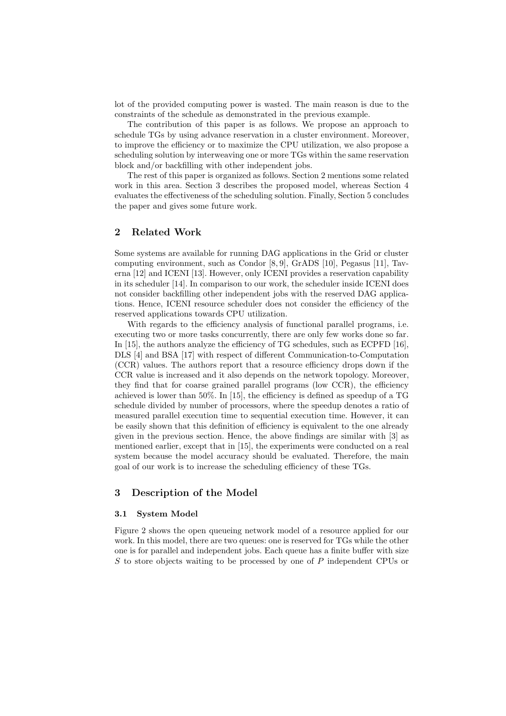lot of the provided computing power is wasted. The main reason is due to the constraints of the schedule as demonstrated in the previous example.

The contribution of this paper is as follows. We propose an approach to schedule TGs by using advance reservation in a cluster environment. Moreover, to improve the efficiency or to maximize the CPU utilization, we also propose a scheduling solution by interweaving one or more TGs within the same reservation block and/or backfilling with other independent jobs.

The rest of this paper is organized as follows. Section 2 mentions some related work in this area. Section 3 describes the proposed model, whereas Section 4 evaluates the effectiveness of the scheduling solution. Finally, Section 5 concludes the paper and gives some future work.

# 2 Related Work

Some systems are available for running DAG applications in the Grid or cluster computing environment, such as Condor [8, 9], GrADS [10], Pegasus [11], Taverna [12] and ICENI [13]. However, only ICENI provides a reservation capability in its scheduler [14]. In comparison to our work, the scheduler inside ICENI does not consider backfilling other independent jobs with the reserved DAG applications. Hence, ICENI resource scheduler does not consider the efficiency of the reserved applications towards CPU utilization.

With regards to the efficiency analysis of functional parallel programs, i.e. executing two or more tasks concurrently, there are only few works done so far. In [15], the authors analyze the efficiency of TG schedules, such as ECPFD [16], DLS [4] and BSA [17] with respect of different Communication-to-Computation (CCR) values. The authors report that a resource efficiency drops down if the CCR value is increased and it also depends on the network topology. Moreover, they find that for coarse grained parallel programs (low CCR), the efficiency achieved is lower than 50%. In [15], the efficiency is defined as speedup of a TG schedule divided by number of processors, where the speedup denotes a ratio of measured parallel execution time to sequential execution time. However, it can be easily shown that this definition of efficiency is equivalent to the one already given in the previous section. Hence, the above findings are similar with [3] as mentioned earlier, except that in [15], the experiments were conducted on a real system because the model accuracy should be evaluated. Therefore, the main goal of our work is to increase the scheduling efficiency of these TGs.

### 3 Description of the Model

### 3.1 System Model

Figure 2 shows the open queueing network model of a resource applied for our work. In this model, there are two queues: one is reserved for TGs while the other one is for parallel and independent jobs. Each queue has a finite buffer with size S to store objects waiting to be processed by one of P independent CPUs or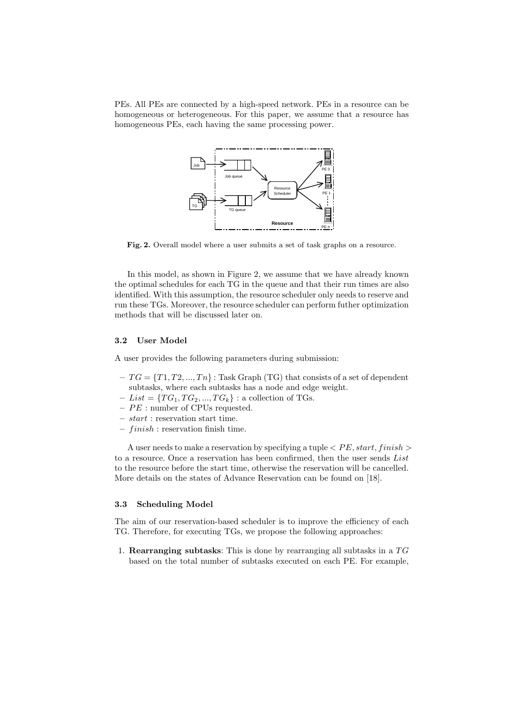PEs. All PEs are connected by a high-speed network. PEs in a resource can be homogeneous or heterogeneous. For this paper, we assume that a resource has homogeneous PEs, each having the same processing power.



Fig. 2. Overall model where a user submits a set of task graphs on a resource.

In this model, as shown in Figure 2, we assume that we have already known the optimal schedules for each TG in the queue and that their run times are also identified. With this assumption, the resource scheduler only needs to reserve and run these TGs. Moreover, the resource scheduler can perform futher optimization methods that will be discussed later on.

### 3.2 User Model

A user provides the following parameters during submission:

- $-TG = \{T1, T2, ..., Tn\}$ : Task Graph (TG) that consists of a set of dependent subtasks, where each subtasks has a node and edge weight.
- $List = \{TG_1, TG_2, ..., TG_k\}$ : a collection of TGs.
- PE : number of CPUs requested.
- start : reservation start time.
- $-$  finish : reservation finish time.

A user needs to make a reservation by specifying a tuple  $\langle PE, start, finish \rangle$ to a resource. Once a reservation has been confirmed, then the user sends List to the resource before the start time, otherwise the reservation will be cancelled. More details on the states of Advance Reservation can be found on [18].

### 3.3 Scheduling Model

The aim of our reservation-based scheduler is to improve the efficiency of each TG. Therefore, for executing TGs, we propose the following approaches:

1. Rearranging subtasks: This is done by rearranging all subtasks in a TG based on the total number of subtasks executed on each PE. For example,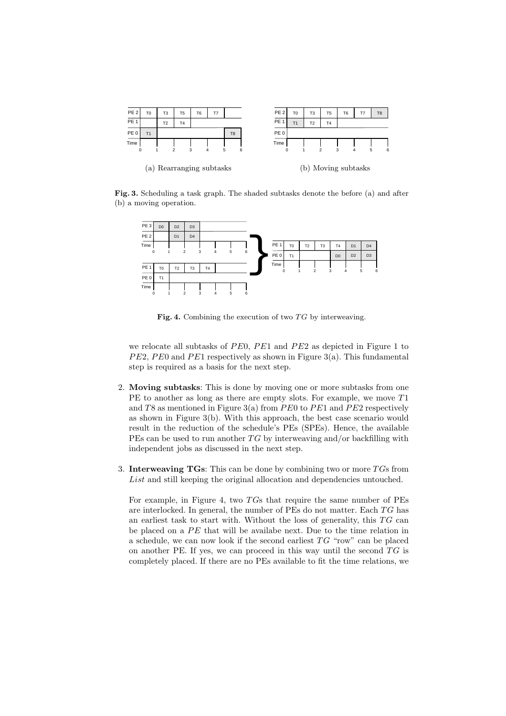

Fig. 3. Scheduling a task graph. The shaded subtasks denote the before (a) and after (b) a moving operation.



Fig. 4. Combining the execution of two  $TG$  by interweaving.

we relocate all subtasks of PE0, PE1 and PE2 as depicted in Figure 1 to  $PE2, PE0$  and  $PE1$  respectively as shown in Figure 3(a). This fundamental step is required as a basis for the next step.

- 2. Moving subtasks: This is done by moving one or more subtasks from one PE to another as long as there are empty slots. For example, we move  $T1$ and T8 as mentioned in Figure 3(a) from PE0 to PE1 and PE2 respectively as shown in Figure 3(b). With this approach, the best case scenario would result in the reduction of the schedule's PEs (SPEs). Hence, the available PEs can be used to run another  $TG$  by interweaving and/or backfilling with independent jobs as discussed in the next step.
- 3. Interweaving TGs: This can be done by combining two or more  $T$ Gs from List and still keeping the original allocation and dependencies untouched.

For example, in Figure 4, two TGs that require the same number of PEs are interlocked. In general, the number of PEs do not matter. Each TG has an earliest task to start with. Without the loss of generality, this  $TG$  can be placed on a PE that will be availabe next. Due to the time relation in a schedule, we can now look if the second earliest TG "row" can be placed on another PE. If yes, we can proceed in this way until the second  $TG$  is completely placed. If there are no PEs available to fit the time relations, we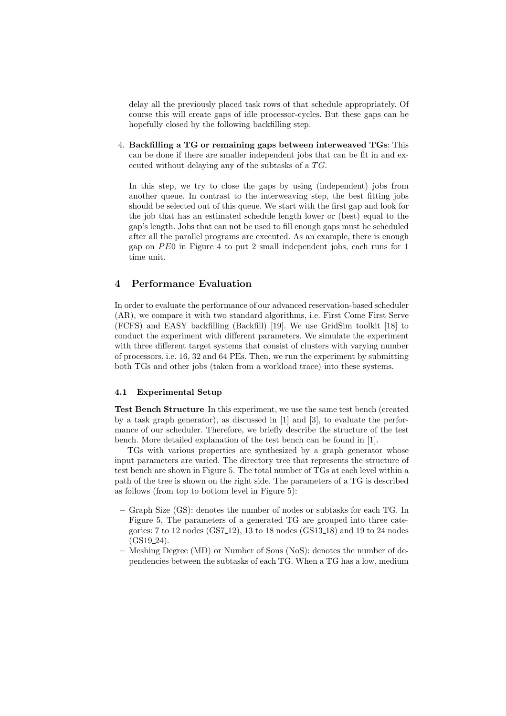delay all the previously placed task rows of that schedule appropriately. Of course this will create gaps of idle processor-cycles. But these gaps can be hopefully closed by the following backfilling step.

4. Backfilling a TG or remaining gaps between interweaved TGs: This can be done if there are smaller independent jobs that can be fit in and executed without delaying any of the subtasks of a TG.

In this step, we try to close the gaps by using (independent) jobs from another queue. In contrast to the interweaving step, the best fitting jobs should be selected out of this queue. We start with the first gap and look for the job that has an estimated schedule length lower or (best) equal to the gap's length. Jobs that can not be used to fill enough gaps must be scheduled after all the parallel programs are executed. As an example, there is enough gap on PE0 in Figure 4 to put 2 small independent jobs, each runs for 1 time unit.

# 4 Performance Evaluation

In order to evaluate the performance of our advanced reservation-based scheduler (AR), we compare it with two standard algorithms, i.e. First Come First Serve (FCFS) and EASY backfilling (Backfill) [19]. We use GridSim toolkit [18] to conduct the experiment with different parameters. We simulate the experiment with three different target systems that consist of clusters with varying number of processors, i.e. 16, 32 and 64 PEs. Then, we run the experiment by submitting both TGs and other jobs (taken from a workload trace) into these systems.

#### 4.1 Experimental Setup

Test Bench Structure In this experiment, we use the same test bench (created by a task graph generator), as discussed in [1] and [3], to evaluate the performance of our scheduler. Therefore, we briefly describe the structure of the test bench. More detailed explanation of the test bench can be found in [1].

TGs with various properties are synthesized by a graph generator whose input parameters are varied. The directory tree that represents the structure of test bench are shown in Figure 5. The total number of TGs at each level within a path of the tree is shown on the right side. The parameters of a TG is described as follows (from top to bottom level in Figure 5):

- Graph Size (GS): denotes the number of nodes or subtasks for each TG. In Figure 5, The parameters of a generated TG are grouped into three categories: 7 to 12 nodes (GS7 12), 13 to 18 nodes (GS13 18) and 19 to 24 nodes  $(GS19_24)$ .
- Meshing Degree (MD) or Number of Sons (NoS): denotes the number of dependencies between the subtasks of each TG. When a TG has a low, medium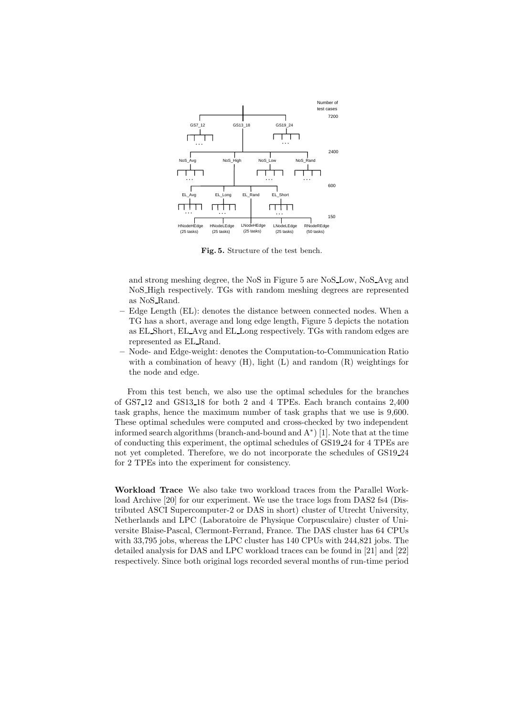

Fig. 5. Structure of the test bench.

and strong meshing degree, the NoS in Figure 5 are NoS Low, NoS Avg and NoS High respectively. TGs with random meshing degrees are represented as NoS Rand.

- Edge Length (EL): denotes the distance between connected nodes. When a TG has a short, average and long edge length, Figure 5 depicts the notation as EL Short, EL Avg and EL Long respectively. TGs with random edges are represented as EL Rand.
- Node- and Edge-weight: denotes the Computation-to-Communication Ratio with a combination of heavy  $(H)$ , light  $(L)$  and random  $(R)$  weightings for the node and edge.

From this test bench, we also use the optimal schedules for the branches of GS7 12 and GS13 18 for both 2 and 4 TPEs. Each branch contains 2,400 task graphs, hence the maximum number of task graphs that we use is 9,600. These optimal schedules were computed and cross-checked by two independent informed search algorithms (branch-and-bound and  $A^*$ ) [1]. Note that at the time of conducting this experiment, the optimal schedules of GS19 24 for 4 TPEs are not yet completed. Therefore, we do not incorporate the schedules of GS19 24 for 2 TPEs into the experiment for consistency.

Workload Trace We also take two workload traces from the Parallel Workload Archive [20] for our experiment. We use the trace logs from DAS2 fs4 (Distributed ASCI Supercomputer-2 or DAS in short) cluster of Utrecht University, Netherlands and LPC (Laboratoire de Physique Corpusculaire) cluster of Universite Blaise-Pascal, Clermont-Ferrand, France. The DAS cluster has 64 CPUs with 33,795 jobs, whereas the LPC cluster has 140 CPUs with 244,821 jobs. The detailed analysis for DAS and LPC workload traces can be found in [21] and [22] respectively. Since both original logs recorded several months of run-time period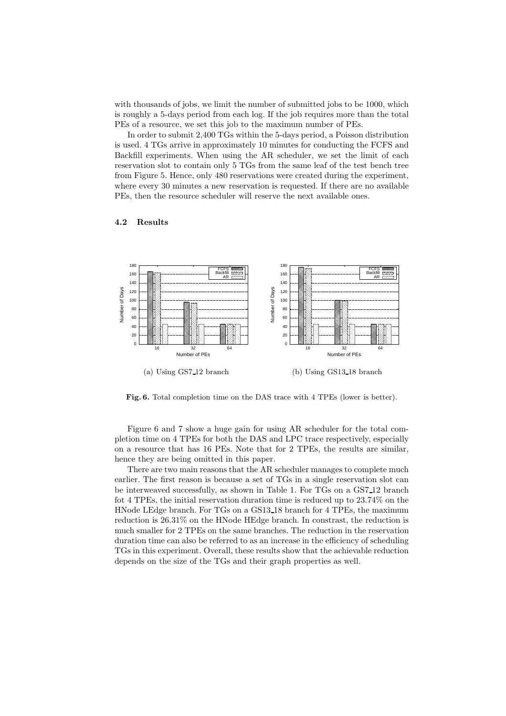with thousands of jobs, we limit the number of submitted jobs to be 1000, which is roughly a 5-days period from each log. If the job requires more than the total PEs of a resource, we set this job to the maximum number of PEs.

In order to submit 2,400 TGs within the 5-days period, a Poisson distribution is used. 4 TGs arrive in approximately 10 minutes for conducting the FCFS and Backfill experiments. When using the AR scheduler, we set the limit of each reservation slot to contain only 5 TGs from the same leaf of the test bench tree from Figure 5. Hence, only 480 reservations were created during the experiment, where every 30 minutes a new reservation is requested. If there are no available PEs, then the resource scheduler will reserve the next available ones.



### 4.2 Results

Fig. 6. Total completion time on the DAS trace with 4 TPEs (lower is better).

Figure 6 and 7 show a huge gain for using AR scheduler for the total completion time on 4 TPEs for both the DAS and LPC trace respectively, especially on a resource that has 16 PEs. Note that for 2 TPEs, the results are similar, hence they are being omitted in this paper.

There are two main reasons that the AR scheduler manages to complete much earlier. The first reason is because a set of TGs in a single reservation slot can be interweaved successfully, as shown in Table 1. For TGs on a GS7 12 branch fot 4 TPEs, the initial reservation duration time is reduced up to 23.74% on the HNode LEdge branch. For TGs on a GS13 18 branch for 4 TPEs, the maximum reduction is 26.31% on the HNode HEdge branch. In constrast, the reduction is much smaller for 2 TPEs on the same branches. The reduction in the reservation duration time can also be referred to as an increase in the efficiency of scheduling TGs in this experiment. Overall, these results show that the achievable reduction depends on the size of the TGs and their graph properties as well.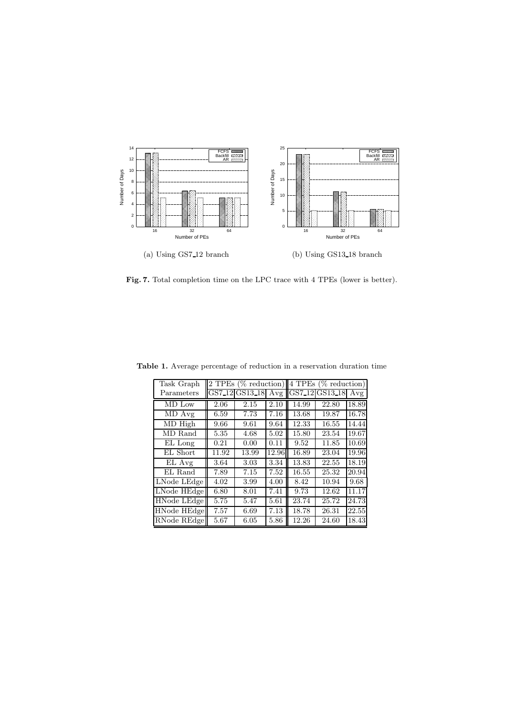

Fig. 7. Total completion time on the LPC trace with 4 TPEs (lower is better).

| Task Graph         | 2 TPEs (% reduction) |                     |       | 4 TPEs (% reduction) |                |       |
|--------------------|----------------------|---------------------|-------|----------------------|----------------|-------|
| Parameters         | GS7 <sub>-12</sub>   | GS13 <sub>-18</sub> | Avg   |                      | GS7_12 GS13_18 | Avg   |
| MD Low             | 2.06                 | 2.15                | 2.10  | 14.99                | 22.80          | 18.89 |
| MD Avg             | 6.59                 | 7.73                | 7.16  | 13.68                | 19.87          | 16.78 |
| MD High            | 9.66                 | 9.61                | 9.64  | 12.33                | 16.55          | 14.44 |
| MD Rand            | 5.35                 | 4.68                | 5.02  | 15.80                | 23.54          | 19.67 |
| EL Long            | 0.21                 | 0.00                | 0.11  | 9.52                 | 11.85          | 10.69 |
| EL Short           | 11.92                | 13.99               | 12.96 | 16.89                | 23.04          | 19.96 |
| EL Avg             | 3.64                 | 3.03                | 3.34  | 13.83                | 22.55          | 18.19 |
| EL Rand            | 7.89                 | 7.15                | 7.52  | 16.55                | 25.32          | 20.94 |
| LNode LEdge        | 4.02                 | 3.99                | 4.00  | 8.42                 | 10.94          | 9.68  |
| LNode HEdge        | 6.80                 | 8.01                | 7.41  | 9.73                 | 12.62          | 11.17 |
| HNode LEdge        | 5.75                 | 5.47                | 5.61  | 23.74                | 25.72          | 24.73 |
| <b>HNode HEdge</b> | 7.57                 | 6.69                | 7.13  | 18.78                | 26.31          | 22.55 |
| RNode REdge        | 5.67                 | 6.05                | 5.86  | 12.26                | 24.60          | 18.43 |

Table 1. Average percentage of reduction in a reservation duration time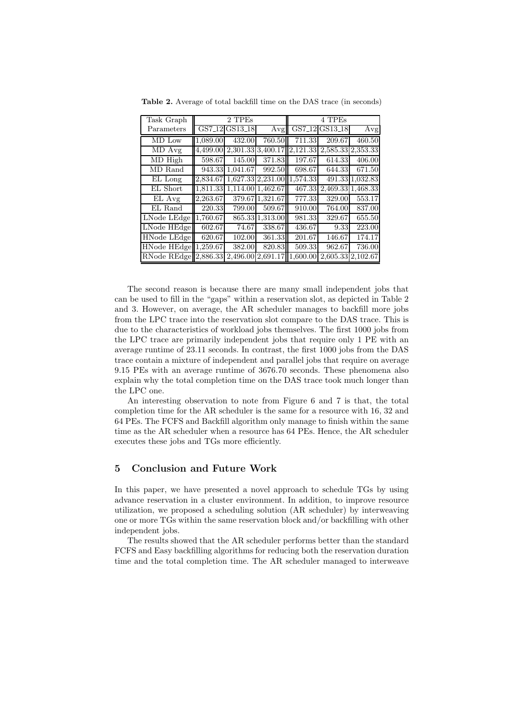| Task Graph               | 2 TPEs   |                                        |                   | 4 TPEs   |         |                   |
|--------------------------|----------|----------------------------------------|-------------------|----------|---------|-------------------|
| Parameters               |          | GS7 <sub>-12</sub> GS13 <sub>-18</sub> | Avg               | GS7_12   | GS13_18 | Avg               |
| MD Low                   | 1.089.00 | 432.00                                 | 760.50            | 711.33   | 209.67  | 460.50            |
| MD Avg                   |          | 4,499.00 2,301.33 3,400.17             |                   | 2,121.33 |         | 2,585.33 2,353.33 |
| MD High                  | 598.67   | 145.00                                 | 371.83            | 197.67   | 614.33  | 406.00            |
| MD Rand                  | 943.33   | 1,041.67                               | 992.50            | 698.67   | 644.33  | 671.50            |
| EL Long                  | 2,834.67 |                                        | 1,627.33 2,231.00 | 1,574.33 |         | 491.33 1,032.83   |
| EL Short                 | 1.811.33 | 1,114.00 1,462.67                      |                   | 467.33   |         | 2,469.33 1,468.33 |
| EL Avg                   | 2.263.67 |                                        | 379.67 1,321.67   | 777.33   | 329.00  | 553.17            |
| EL Rand                  | 220.33   | 799.00                                 | 509.67            | 910.00   | 764.00  | 837.00            |
| LNode LEdge              | 1,760.67 |                                        | 865.33 1,313.00   | 981.33   | 329.67  | 655.50            |
| LNode HEdge              | 602.67   | 74.67                                  | 338.67            | 436.67   | 9.33    | 223.00            |
| <b>HNode LEdge</b>       | 620.67   | 102.00                                 | 361.33            | 201.67   | 146.67  | 174.17            |
| HNode HEdge 1,259.67     |          | 382.00                                 | 820.83            | 509.33   | 962.67  | 736.00            |
| RNode REdge $ 2,886.33 $ |          | 2,496.00                               | 2.691.1           | 1,600.00 |         | 2,605.33 2,102.67 |

Table 2. Average of total backfill time on the DAS trace (in seconds)

The second reason is because there are many small independent jobs that can be used to fill in the "gaps" within a reservation slot, as depicted in Table 2 and 3. However, on average, the AR scheduler manages to backfill more jobs from the LPC trace into the reservation slot compare to the DAS trace. This is due to the characteristics of workload jobs themselves. The first 1000 jobs from the LPC trace are primarily independent jobs that require only 1 PE with an average runtime of 23.11 seconds. In contrast, the first 1000 jobs from the DAS trace contain a mixture of independent and parallel jobs that require on average 9.15 PEs with an average runtime of 3676.70 seconds. These phenomena also explain why the total completion time on the DAS trace took much longer than the LPC one.

An interesting observation to note from Figure 6 and 7 is that, the total completion time for the AR scheduler is the same for a resource with 16, 32 and 64 PEs. The FCFS and Backfill algorithm only manage to finish within the same time as the AR scheduler when a resource has 64 PEs. Hence, the AR scheduler executes these jobs and TGs more efficiently.

### 5 Conclusion and Future Work

In this paper, we have presented a novel approach to schedule TGs by using advance reservation in a cluster environment. In addition, to improve resource utilization, we proposed a scheduling solution (AR scheduler) by interweaving one or more TGs within the same reservation block and/or backfilling with other independent jobs.

The results showed that the AR scheduler performs better than the standard FCFS and Easy backfilling algorithms for reducing both the reservation duration time and the total completion time. The AR scheduler managed to interweave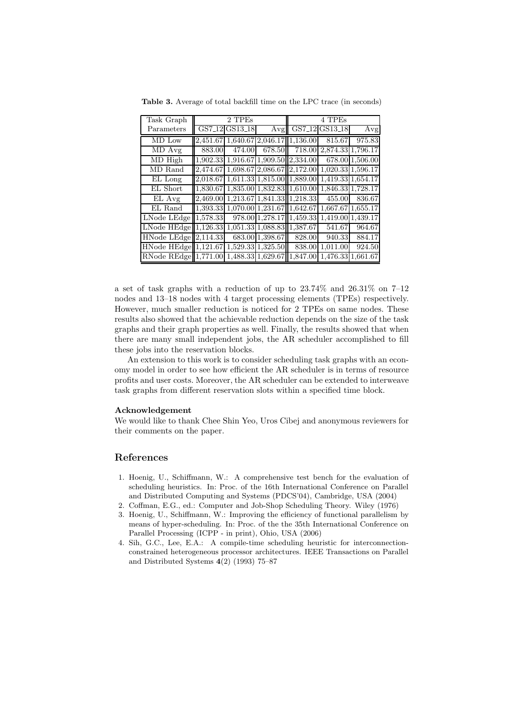| Task Graph                 | 2 TPEs   |                   |                                     | 4 TPEs   |                     |                   |  |
|----------------------------|----------|-------------------|-------------------------------------|----------|---------------------|-------------------|--|
| Parameters                 |          | GS7_12 GS13_18    | Avg                                 | GS7 12   | GS13 <sub>-18</sub> | Avg               |  |
| MD Low                     | 2,451.67 |                   | 1,640.67 2,046.17 1,136.00          |          | 815.67              | 975.83            |  |
| MD Avg                     | 883.00   | 474.00            | 678.50                              | 718.00   | 2,874.33 1,796.17   |                   |  |
| MD High                    |          |                   | 1,902.33 1,916.67 1,909.50 2,334.00 |          |                     | 678.00 1,506.00   |  |
| MD Rand                    | 2.474.67 |                   | 1,698.67 2,086.67  2,172.00         |          |                     | 1,020.33 1,596.17 |  |
| EL Long                    | 2,018.67 |                   | 1,611.33 1,815.00 1,889.00          |          |                     | 1,419.33 1,654.17 |  |
| EL Short                   | 1,830.67 |                   | 1,835.00 1,832.83 1,610.00          |          |                     | 1,846.33 1,728.17 |  |
| EL Avg                     | 2,469.00 |                   | 1,213.67 1,841.33 1,218.33          |          | 455.00              | 836.67            |  |
| EL Rand                    | 1,393.33 |                   | 1,070.00 1,231.67 1,642.67          |          | 1,667.67            | 1,655.17          |  |
| LNode LEdge $ 1,578.33 $   |          |                   | 978.00 1,278.17 1,459.33            |          |                     | 1,419.00 1,439.17 |  |
| LNode $HEdge  1,126.33 $   |          |                   | 1,051.33 1,088.83 1,387.67          |          | 541.67              | 964.67            |  |
| $HNode$ LEdge $  2,114.33$ |          |                   | $\overline{683.00}$ 1,398.67        | 828.00   | 940.33              | 884.17            |  |
| HNode HEdge  1,121.67      |          |                   | 1,529.33 1,325.50                   | 838.00   | 1.011.00            | 924.50            |  |
| RNode $REdeg  1,771.00$    |          | 1,488.33 1,629.67 |                                     | 1,847.00 | 1,476.33            | 1,661.67          |  |

Table 3. Average of total backfill time on the LPC trace (in seconds)

a set of task graphs with a reduction of up to 23.74% and 26.31% on 7–12 nodes and 13–18 nodes with 4 target processing elements (TPEs) respectively. However, much smaller reduction is noticed for 2 TPEs on same nodes. These results also showed that the achievable reduction depends on the size of the task graphs and their graph properties as well. Finally, the results showed that when there are many small independent jobs, the AR scheduler accomplished to fill these jobs into the reservation blocks.

An extension to this work is to consider scheduling task graphs with an economy model in order to see how efficient the AR scheduler is in terms of resource profits and user costs. Moreover, the AR scheduler can be extended to interweave task graphs from different reservation slots within a specified time block.

#### Acknowledgement

We would like to thank Chee Shin Yeo, Uros Cibej and anonymous reviewers for their comments on the paper.

### References

- 1. Hoenig, U., Schiffmann, W.: A comprehensive test bench for the evaluation of scheduling heuristics. In: Proc. of the 16th International Conference on Parallel and Distributed Computing and Systems (PDCS'04), Cambridge, USA (2004)
- 2. Coffman, E.G., ed.: Computer and Job-Shop Scheduling Theory. Wiley (1976)
- 3. Hoenig, U., Schiffmann, W.: Improving the efficiency of functional parallelism by means of hyper-scheduling. In: Proc. of the the 35th International Conference on Parallel Processing (ICPP - in print), Ohio, USA (2006)
- 4. Sih, G.C., Lee, E.A.: A compile-time scheduling heuristic for interconnectionconstrained heterogeneous processor architectures. IEEE Transactions on Parallel and Distributed Systems 4(2) (1993) 75–87